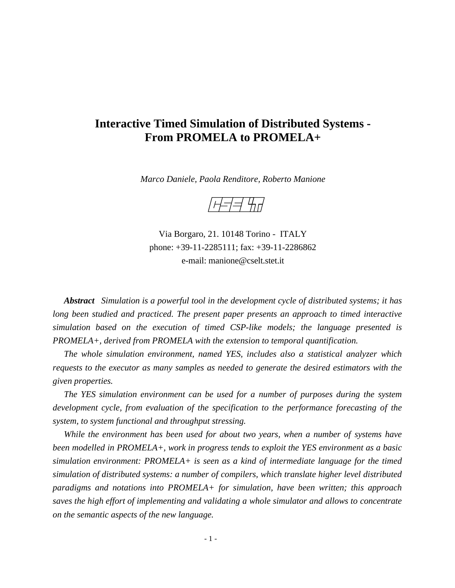# **Interactive Timed Simulation of Distributed Systems - From PROMELA to PROMELA+**

*Marco Daniele, Paola Renditore, Roberto Manione*

/*H=|=| 4*11/

Via Borgaro, 21. 10148 Torino - ITALY phone: +39-11-2285111; fax: +39-11-2286862 e-mail: manione@cselt.stet.it

*Abstract Simulation is a powerful tool in the development cycle of distributed systems; it has long been studied and practiced. The present paper presents an approach to timed interactive simulation based on the execution of timed CSP-like models; the language presented is PROMELA+, derived from PROMELA with the extension to temporal quantification.*

*The whole simulation environment, named YES, includes also a statistical analyzer which requests to the executor as many samples as needed to generate the desired estimators with the given properties.*

*The YES simulation environment can be used for a number of purposes during the system development cycle, from evaluation of the specification to the performance forecasting of the system, to system functional and throughput stressing.*

*While the environment has been used for about two years, when a number of systems have been modelled in PROMELA+, work in progress tends to exploit the YES environment as a basic simulation environment: PROMELA+ is seen as a kind of intermediate language for the timed simulation of distributed systems: a number of compilers, which translate higher level distributed paradigms and notations into PROMELA+ for simulation, have been written; this approach saves the high effort of implementing and validating a whole simulator and allows to concentrate on the semantic aspects of the new language.*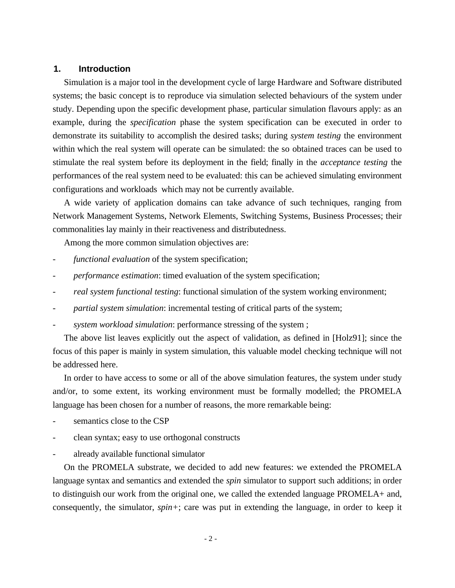## **1. Introduction**

Simulation is a major tool in the development cycle of large Hardware and Software distributed systems; the basic concept is to reproduce via simulation selected behaviours of the system under study. Depending upon the specific development phase, particular simulation flavours apply: as an example, during the *specification* phase the system specification can be executed in order to demonstrate its suitability to accomplish the desired tasks; during *system testing* the environment within which the real system will operate can be simulated: the so obtained traces can be used to stimulate the real system before its deployment in the field; finally in the *acceptance testing* the performances of the real system need to be evaluated: this can be achieved simulating environment configurations and workloads which may not be currently available.

A wide variety of application domains can take advance of such techniques, ranging from Network Management Systems, Network Elements, Switching Systems, Business Processes; their commonalities lay mainly in their reactiveness and distributedness.

Among the more common simulation objectives are:

- functional evaluation of the system specification;
- *performance estimation*: timed evaluation of the system specification;
- *real system functional testing*: functional simulation of the system working environment;
- partial system simulation: incremental testing of critical parts of the system;
- system workload simulation: performance stressing of the system;

The above list leaves explicitly out the aspect of validation, as defined in [Holz91]; since the focus of this paper is mainly in system simulation, this valuable model checking technique will not be addressed here.

In order to have access to some or all of the above simulation features, the system under study and/or, to some extent, its working environment must be formally modelled; the PROMELA language has been chosen for a number of reasons, the more remarkable being:

- semantics close to the CSP
- clean syntax; easy to use orthogonal constructs
- already available functional simulator

On the PROMELA substrate, we decided to add new features: we extended the PROMELA language syntax and semantics and extended the *spin* simulator to support such additions; in order to distinguish our work from the original one, we called the extended language PROMELA+ and, consequently, the simulator, *spin+*; care was put in extending the language, in order to keep it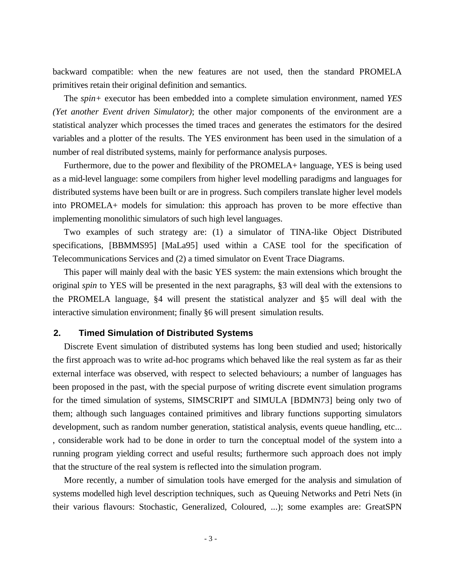backward compatible: when the new features are not used, then the standard PROMELA primitives retain their original definition and semantics.

The *spin+* executor has been embedded into a complete simulation environment, named *YES (Yet another Event driven Simulator)*; the other major components of the environment are a statistical analyzer which processes the timed traces and generates the estimators for the desired variables and a plotter of the results. The YES environment has been used in the simulation of a number of real distributed systems, mainly for performance analysis purposes.

Furthermore, due to the power and flexibility of the PROMELA+ language, YES is being used as a mid-level language: some compilers from higher level modelling paradigms and languages for distributed systems have been built or are in progress. Such compilers translate higher level models into PROMELA+ models for simulation: this approach has proven to be more effective than implementing monolithic simulators of such high level languages.

Two examples of such strategy are: (1) a simulator of TINA-like Object Distributed specifications, [BBMMS95] [MaLa95] used within a CASE tool for the specification of Telecommunications Services and (2) a timed simulator on Event Trace Diagrams.

This paper will mainly deal with the basic YES system: the main extensions which brought the original *spin* to YES will be presented in the next paragraphs, §3 will deal with the extensions to the PROMELA language, §4 will present the statistical analyzer and §5 will deal with the interactive simulation environment; finally §6 will present simulation results.

### **2. Timed Simulation of Distributed Systems**

Discrete Event simulation of distributed systems has long been studied and used; historically the first approach was to write ad-hoc programs which behaved like the real system as far as their external interface was observed, with respect to selected behaviours; a number of languages has been proposed in the past, with the special purpose of writing discrete event simulation programs for the timed simulation of systems, SIMSCRIPT and SIMULA [BDMN73] being only two of them; although such languages contained primitives and library functions supporting simulators development, such as random number generation, statistical analysis, events queue handling, etc... , considerable work had to be done in order to turn the conceptual model of the system into a running program yielding correct and useful results; furthermore such approach does not imply that the structure of the real system is reflected into the simulation program.

More recently, a number of simulation tools have emerged for the analysis and simulation of systems modelled high level description techniques, such as Queuing Networks and Petri Nets (in their various flavours: Stochastic, Generalized, Coloured, ...); some examples are: GreatSPN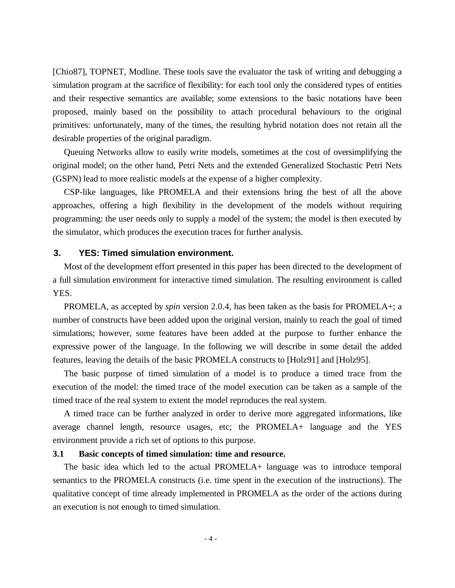[Chio87], TOPNET, Modline. These tools save the evaluator the task of writing and debugging a simulation program at the sacrifice of flexibility: for each tool only the considered types of entities and their respective semantics are available; some extensions to the basic notations have been proposed, mainly based on the possibility to attach procedural behaviours to the original primitives: unfortunately, many of the times, the resulting hybrid notation does not retain all the desirable properties of the original paradigm.

Queuing Networks allow to easily write models, sometimes at the cost of oversimplifying the original model; on the other hand, Petri Nets and the extended Generalized Stochastic Petri Nets (GSPN) lead to more realistic models at the expense of a higher complexity.

CSP-like languages, like PROMELA and their extensions bring the best of all the above approaches, offering a high flexibility in the development of the models without requiring programming: the user needs only to supply a model of the system; the model is then executed by the simulator, which produces the execution traces for further analysis.

## **3. YES: Timed simulation environment.**

Most of the development effort presented in this paper has been directed to the development of a full simulation environment for interactive timed simulation. The resulting environment is called YES.

PROMELA, as accepted by *spin* version 2.0.4, has been taken as the basis for PROMELA+; a number of constructs have been added upon the original version, mainly to reach the goal of timed simulations; however, some features have been added at the purpose to further enhance the expressive power of the language. In the following we will describe in some detail the added features, leaving the details of the basic PROMELA constructs to [Holz91] and [Holz95].

The basic purpose of timed simulation of a model is to produce a timed trace from the execution of the model: the timed trace of the model execution can be taken as a sample of the timed trace of the real system to extent the model reproduces the real system.

A timed trace can be further analyzed in order to derive more aggregated informations, like average channel length, resource usages, etc; the PROMELA+ language and the YES environment provide a rich set of options to this purpose.

## **3.1 Basic concepts of timed simulation: time and resource.**

The basic idea which led to the actual PROMELA+ language was to introduce temporal semantics to the PROMELA constructs (i.e. time spent in the execution of the instructions). The qualitative concept of time already implemented in PROMELA as the order of the actions during an execution is not enough to timed simulation.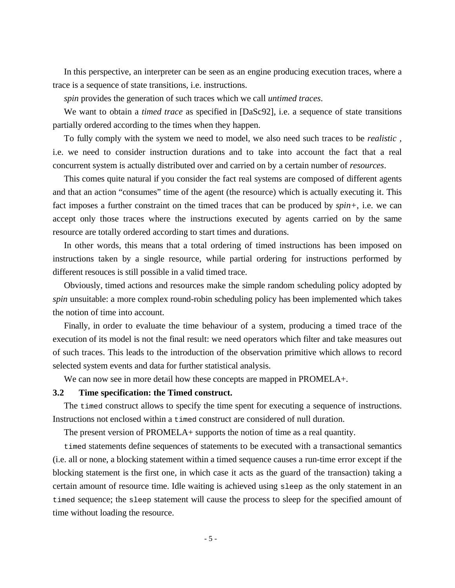In this perspective, an interpreter can be seen as an engine producing execution traces, where a trace is a sequence of state transitions, i.e. instructions.

*spin* provides the generation of such traces which we call *untimed traces*.

We want to obtain a *timed trace* as specified in [DaSc92], i.e. a sequence of state transitions partially ordered according to the times when they happen.

To fully comply with the system we need to model, we also need such traces to be *realistic* , i.e. we need to consider instruction durations and to take into account the fact that a real concurrent system is actually distributed over and carried on by a certain number of *resources*.

This comes quite natural if you consider the fact real systems are composed of different agents and that an action "consumes" time of the agent (the resource) which is actually executing it. This fact imposes a further constraint on the timed traces that can be produced by *spin+*, i.e. we can accept only those traces where the instructions executed by agents carried on by the same resource are totally ordered according to start times and durations.

In other words, this means that a total ordering of timed instructions has been imposed on instructions taken by a single resource, while partial ordering for instructions performed by different resouces is still possible in a valid timed trace.

Obviously, timed actions and resources make the simple random scheduling policy adopted by *spin* unsuitable: a more complex round-robin scheduling policy has been implemented which takes the notion of time into account.

Finally, in order to evaluate the time behaviour of a system, producing a timed trace of the execution of its model is not the final result: we need operators which filter and take measures out of such traces. This leads to the introduction of the observation primitive which allows to record selected system events and data for further statistical analysis.

We can now see in more detail how these concepts are mapped in PROMELA+.

## **3.2 Time specification: the Timed construct.**

The timed construct allows to specify the time spent for executing a sequence of instructions. Instructions not enclosed within a timed construct are considered of null duration.

The present version of PROMELA+ supports the notion of time as a real quantity.

timed statements define sequences of statements to be executed with a transactional semantics (i.e. all or none, a blocking statement within a timed sequence causes a run-time error except if the blocking statement is the first one, in which case it acts as the guard of the transaction) taking a certain amount of resource time. Idle waiting is achieved using sleep as the only statement in an timed sequence; the sleep statement will cause the process to sleep for the specified amount of time without loading the resource.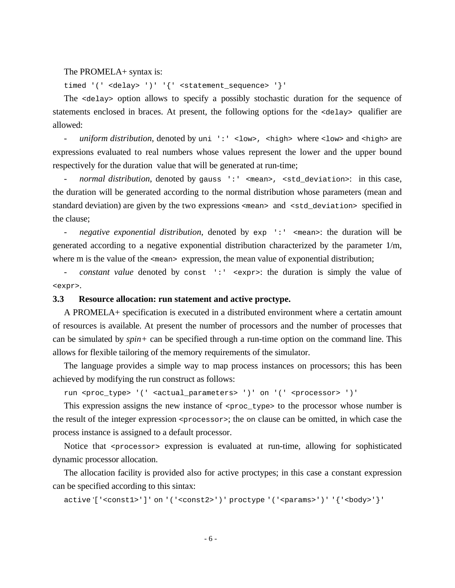#### The PROMELA+ syntax is:

timed '(' <delay> ')' '{' <statement\_sequence> '}'

The <delay> option allows to specify a possibly stochastic duration for the sequence of statements enclosed in braces. At present, the following options for the <delay> qualifier are allowed:

- *uniform distribution*, denoted by uni ':' <low>, <high> where <low> and <high> are expressions evaluated to real numbers whose values represent the lower and the upper bound respectively for the duration value that will be generated at run-time;

*normal distribution*, denoted by gauss ':' <mean>, <std\_deviation>: in this case, the duration will be generated according to the normal distribution whose parameters (mean and standard deviation) are given by the two expressions <mean> and <std\_deviation> specified in the clause;

- *negative exponential distribution*, denoted by exp ':' <mean>: the duration will be generated according to a negative exponential distribution characterized by the parameter 1/m, where m is the value of the  $\epsilon_{\text{mean}}$  expression, the mean value of exponential distribution;

- *constant value* denoted by const ':' <expr>: the duration is simply the value of <expr>.

## **3.3 Resource allocation: run statement and active proctype.**

A PROMELA+ specification is executed in a distributed environment where a certatin amount of resources is available. At present the number of processors and the number of processes that can be simulated by *spin+* can be specified through a run-time option on the command line. This allows for flexible tailoring of the memory requirements of the simulator.

The language provides a simple way to map process instances on processors; this has been achieved by modifying the run construct as follows:

run <proc\_type> '(' <actual\_parameters> ')' on '(' <processor> ')'

This expression assigns the new instance of  $<$ proc\_type> to the processor whose number is the result of the integer expression  $\langle\text{processor}\rangle$ ; the on clause can be omitted, in which case the process instance is assigned to a default processor.

Notice that <processor> expression is evaluated at run-time, allowing for sophisticated dynamic processor allocation.

The allocation facility is provided also for active proctypes; in this case a constant expression can be specified according to this sintax:

active '['<const1>']' on '('<const2>')' proctype '('<params>')' '{'<body>'}'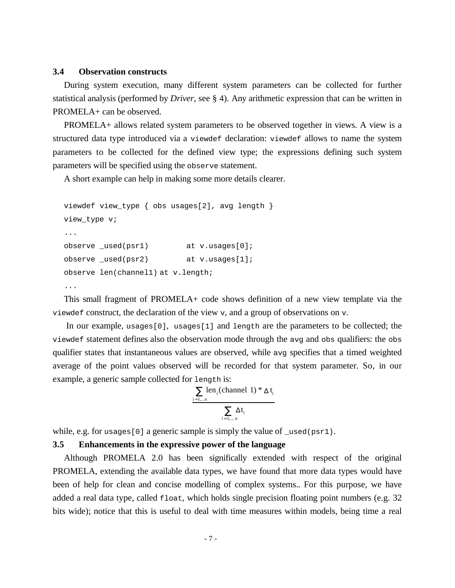#### **3.4 Observation constructs**

During system execution, many different system parameters can be collected for further statistical analysis (performed by *Driver*, see § 4). Any arithmetic expression that can be written in PROMELA+ can be observed.

PROMELA+ allows related system parameters to be observed together in views. A view is a structured data type introduced via a viewdef declaration: viewdef allows to name the system parameters to be collected for the defined view type; the expressions defining such system parameters will be specified using the observe statement.

A short example can help in making some more details clearer.

```
viewdef view type { obs usages[2], avg length }
view type v;
...
observe used(psr1) at v.usages[0];
observe _used(psr2) at v.usages[1];
observe len(channel1) at v.length;
...
```
This small fragment of PROMELA+ code shows definition of a new view template via the viewdef construct, the declaration of the view v, and a group of observations on v.

 In our example, usages[0], usages[1] and length are the parameters to be collected; the viewdef statement defines also the observation mode through the avg and obs qualifiers: the obs qualifier states that instantaneous values are observed, while avg specifies that a timed weighted average of the point values observed will be recorded for that system parameter. So, in our example, a generic sample collected for length is:

$$
\frac{\sum_{i=1,..n}len_i(channel\ 1) * \Delta\ t_i}{\sum_{i=1,..n}\Delta t_i}
$$

while, e.g. for usages [0] a generic sample is simply the value of  $\lceil \cdot \text{used}(\text{psr1}) \rceil$ .

## **3.5 Enhancements in the expressive power of the language**

Although PROMELA 2.0 has been significally extended with respect of the original PROMELA, extending the available data types, we have found that more data types would have been of help for clean and concise modelling of complex systems.. For this purpose, we have added a real data type, called float, which holds single precision floating point numbers (e.g. 32 bits wide); notice that this is useful to deal with time measures within models, being time a real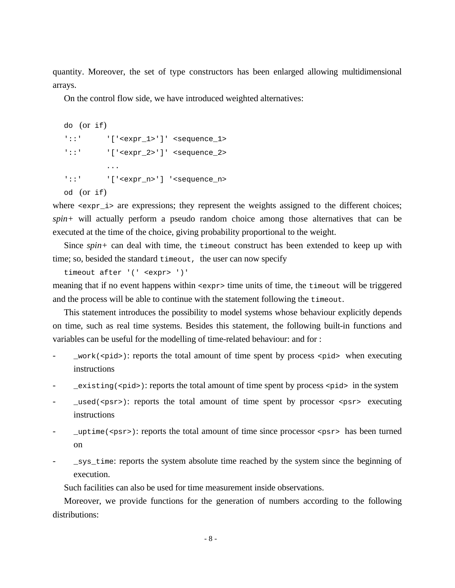quantity. Moreover, the set of type constructors has been enlarged allowing multidimensional arrays.

On the control flow side, we have introduced weighted alternatives:

```
do (or if)
'::' \ctar{\bmg '[' \texpr_1>' ]' <sequence_1>
'::' \caref '['\texpr_2>']' <sequence 2>
          ...
'::' '['<expr_n>'] '<sequence_n>
od (or if)
```
where  $\leq \exp r_i$  are expressions; they represent the weights assigned to the different choices; *spin+* will actually perform a pseudo random choice among those alternatives that can be executed at the time of the choice, giving probability proportional to the weight.

Since *spin+* can deal with time, the timeout construct has been extended to keep up with time; so, besided the standard timeout, the user can now specify

```
timeout after '(' <expr> ')'
```
meaning that if no event happens within <expr> time units of time, the timeout will be triggered and the process will be able to continue with the statement following the timeout.

This statement introduces the possibility to model systems whose behaviour explicitly depends on time, such as real time systems. Besides this statement, the following built-in functions and variables can be useful for the modelling of time-related behaviour: and for :

- $\text{__work}(\text{~spid}>):$  reports the total amount of time spent by process <pid> when executing instructions
- $\text{exists}($  <pid>): reports the total amount of time spent by process <pid> in the system
- $\lceil \cosh(\cosh x) \rceil$ : reports the total amount of time spent by processor  $\cosh x$  executing instructions
- $\text{uptime}(\text{spsr}>):$  reports the total amount of time since processor  $\text{spsr}>$  has been turned on
- \_sys\_time: reports the system absolute time reached by the system since the beginning of execution.

Such facilities can also be used for time measurement inside observations.

Moreover, we provide functions for the generation of numbers according to the following distributions: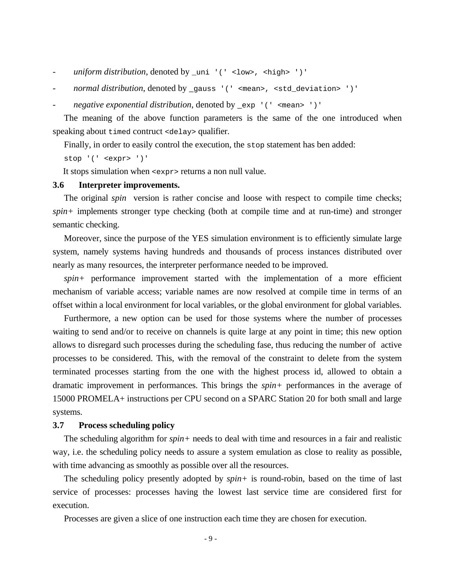- *uniform distribution*, denoted by \_uni '(' <low>, <high> ')'
- *normal distribution*, denoted by \_gauss '(' <mean>, <std\_deviation> ')'
- *negative exponential distribution*, denoted by \_exp '(' <mean> ')'

The meaning of the above function parameters is the same of the one introduced when speaking about timed contruct <delay> qualifier.

Finally, in order to easily control the execution, the stop statement has ben added:

stop '(' <expr> ')'

It stops simulation when <expr> returns a non null value.

#### **3.6 Interpreter improvements.**

The original *spin* version is rather concise and loose with respect to compile time checks; *spin+* implements stronger type checking (both at compile time and at run-time) and stronger semantic checking.

Moreover, since the purpose of the YES simulation environment is to efficiently simulate large system, namely systems having hundreds and thousands of process instances distributed over nearly as many resources, the interpreter performance needed to be improved.

*spin+* performance improvement started with the implementation of a more efficient mechanism of variable access; variable names are now resolved at compile time in terms of an offset within a local environment for local variables, or the global environment for global variables.

Furthermore, a new option can be used for those systems where the number of processes waiting to send and/or to receive on channels is quite large at any point in time; this new option allows to disregard such processes during the scheduling fase, thus reducing the number of active processes to be considered. This, with the removal of the constraint to delete from the system terminated processes starting from the one with the highest process id, allowed to obtain a dramatic improvement in performances. This brings the *spin+* performances in the average of 15000 PROMELA+ instructions per CPU second on a SPARC Station 20 for both small and large systems.

#### **3.7 Process scheduling policy**

The scheduling algorithm for *spin+* needs to deal with time and resources in a fair and realistic way, i.e. the scheduling policy needs to assure a system emulation as close to reality as possible, with time advancing as smoothly as possible over all the resources.

The scheduling policy presently adopted by *spin+* is round-robin, based on the time of last service of processes: processes having the lowest last service time are considered first for execution.

Processes are given a slice of one instruction each time they are chosen for execution.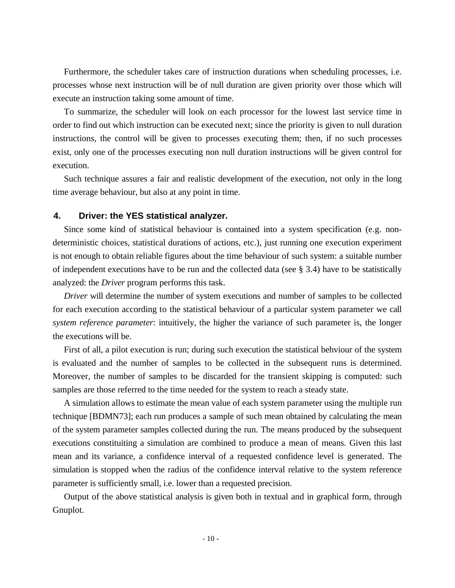Furthermore, the scheduler takes care of instruction durations when scheduling processes, i.e. processes whose next instruction will be of null duration are given priority over those which will execute an instruction taking some amount of time.

To summarize, the scheduler will look on each processor for the lowest last service time in order to find out which instruction can be executed next; since the priority is given to null duration instructions, the control will be given to processes executing them; then, if no such processes exist, only one of the processes executing non null duration instructions will be given control for execution.

Such technique assures a fair and realistic development of the execution, not only in the long time average behaviour, but also at any point in time.

## **4. Driver: the YES statistical analyzer.**

Since some kind of statistical behaviour is contained into a system specification (e.g. nondeterministic choices, statistical durations of actions, etc.), just running one execution experiment is not enough to obtain reliable figures about the time behaviour of such system: a suitable number of independent executions have to be run and the collected data (see § 3.4) have to be statistically analyzed: the *Driver* program performs this task.

*Driver* will determine the number of system executions and number of samples to be collected for each execution according to the statistical behaviour of a particular system parameter we call *system reference parameter*: intuitively, the higher the variance of such parameter is, the longer the executions will be.

First of all, a pilot execution is run; during such execution the statistical behviour of the system is evaluated and the number of samples to be collected in the subsequent runs is determined. Moreover, the number of samples to be discarded for the transient skipping is computed: such samples are those referred to the time needed for the system to reach a steady state.

A simulation allows to estimate the mean value of each system parameter using the multiple run technique [BDMN73]; each run produces a sample of such mean obtained by calculating the mean of the system parameter samples collected during the run. The means produced by the subsequent executions constituiting a simulation are combined to produce a mean of means. Given this last mean and its variance, a confidence interval of a requested confidence level is generated. The simulation is stopped when the radius of the confidence interval relative to the system reference parameter is sufficiently small, i.e. lower than a requested precision.

Output of the above statistical analysis is given both in textual and in graphical form, through Gnuplot.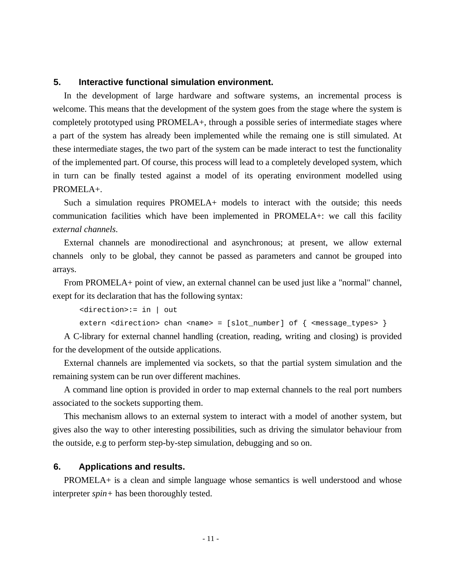## **5. Interactive functional simulation environment.**

In the development of large hardware and software systems, an incremental process is welcome. This means that the development of the system goes from the stage where the system is completely prototyped using PROMELA+, through a possible series of intermediate stages where a part of the system has already been implemented while the remaing one is still simulated. At these intermediate stages, the two part of the system can be made interact to test the functionality of the implemented part. Of course, this process will lead to a completely developed system, which in turn can be finally tested against a model of its operating environment modelled using PROMELA+.

Such a simulation requires PROMELA+ models to interact with the outside; this needs communication facilities which have been implemented in PROMELA+: we call this facility *external channels*.

External channels are monodirectional and asynchronous; at present, we allow external channels only to be global, they cannot be passed as parameters and cannot be grouped into arrays.

From PROMELA+ point of view, an external channel can be used just like a "normal" channel, exept for its declaration that has the following syntax:

```
<direction>:= in | out
```
extern <direction> chan <name> = [slot number] of  $\{$  <message types>  $\}$ 

A C-library for external channel handling (creation, reading, writing and closing) is provided for the development of the outside applications.

External channels are implemented via sockets, so that the partial system simulation and the remaining system can be run over different machines.

A command line option is provided in order to map external channels to the real port numbers associated to the sockets supporting them.

This mechanism allows to an external system to interact with a model of another system, but gives also the way to other interesting possibilities, such as driving the simulator behaviour from the outside, e.g to perform step-by-step simulation, debugging and so on.

## **6. Applications and results.**

PROMELA+ is a clean and simple language whose semantics is well understood and whose interpreter *spin+* has been thoroughly tested.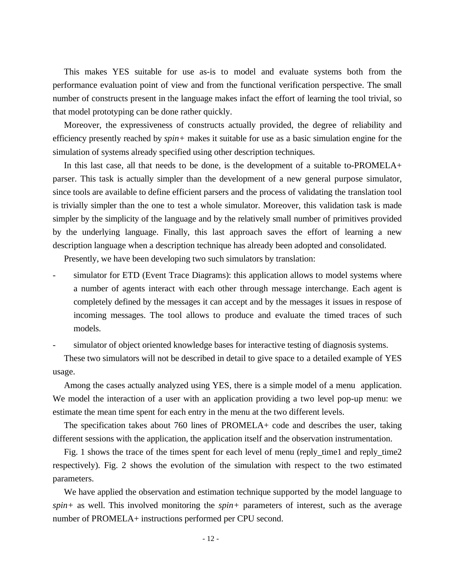This makes YES suitable for use as-is to model and evaluate systems both from the performance evaluation point of view and from the functional verification perspective. The small number of constructs present in the language makes infact the effort of learning the tool trivial, so that model prototyping can be done rather quickly.

Moreover, the expressiveness of constructs actually provided, the degree of reliability and efficiency presently reached by *spin+* makes it suitable for use as a basic simulation engine for the simulation of systems already specified using other description techniques.

In this last case, all that needs to be done, is the development of a suitable to-PROMELA+ parser. This task is actually simpler than the development of a new general purpose simulator, since tools are available to define efficient parsers and the process of validating the translation tool is trivially simpler than the one to test a whole simulator. Moreover, this validation task is made simpler by the simplicity of the language and by the relatively small number of primitives provided by the underlying language. Finally, this last approach saves the effort of learning a new description language when a description technique has already been adopted and consolidated.

Presently, we have been developing two such simulators by translation:

simulator for ETD (Event Trace Diagrams): this application allows to model systems where a number of agents interact with each other through message interchange. Each agent is completely defined by the messages it can accept and by the messages it issues in respose of incoming messages. The tool allows to produce and evaluate the timed traces of such models.

simulator of object oriented knowledge bases for interactive testing of diagnosis systems.

These two simulators will not be described in detail to give space to a detailed example of YES usage.

Among the cases actually analyzed using YES, there is a simple model of a menu application. We model the interaction of a user with an application providing a two level pop-up menu: we estimate the mean time spent for each entry in the menu at the two different levels.

The specification takes about 760 lines of PROMELA+ code and describes the user, taking different sessions with the application, the application itself and the observation instrumentation.

Fig. 1 shows the trace of the times spent for each level of menu (reply\_time1 and reply\_time2 respectively). Fig. 2 shows the evolution of the simulation with respect to the two estimated parameters.

We have applied the observation and estimation technique supported by the model language to *spin+* as well. This involved monitoring the *spin+* parameters of interest, such as the average number of PROMELA+ instructions performed per CPU second.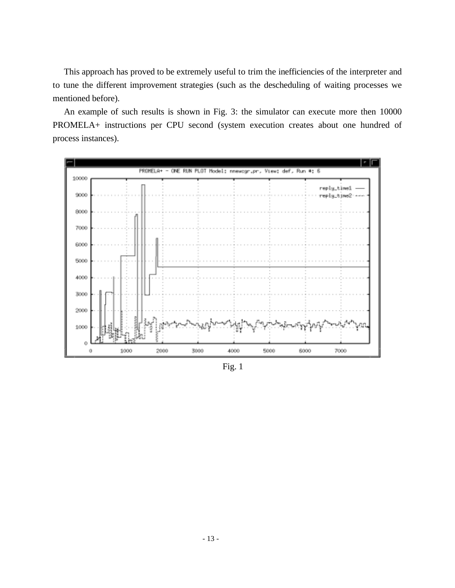This approach has proved to be extremely useful to trim the inefficiencies of the interpreter and to tune the different improvement strategies (such as the descheduling of waiting processes we mentioned before).

An example of such results is shown in Fig. 3: the simulator can execute more then 10000 PROMELA+ instructions per CPU second (system execution creates about one hundred of process instances).



Fig. 1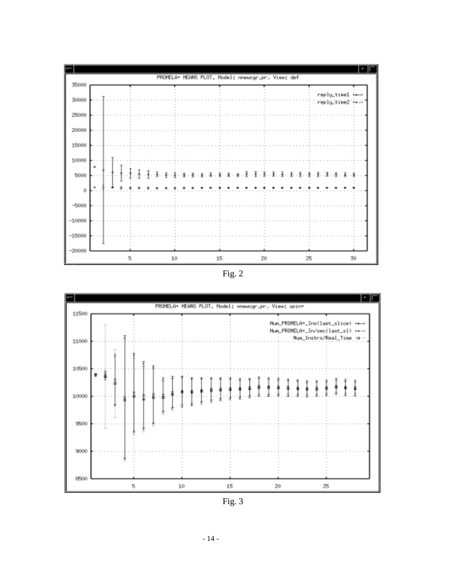

Fig. 2



Fig. 3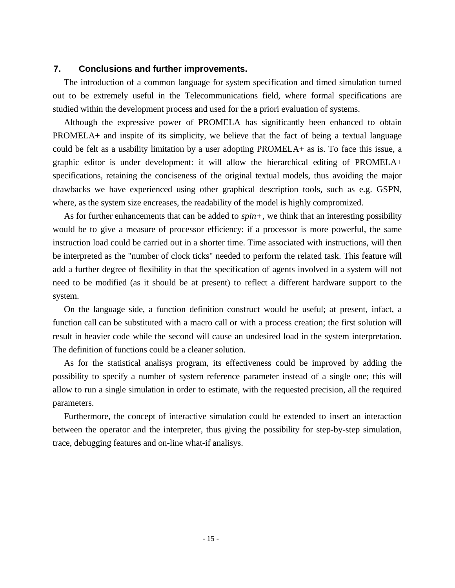## **7. Conclusions and further improvements.**

The introduction of a common language for system specification and timed simulation turned out to be extremely useful in the Telecommunications field, where formal specifications are studied within the development process and used for the a priori evaluation of systems.

Although the expressive power of PROMELA has significantly been enhanced to obtain PROMELA+ and inspite of its simplicity, we believe that the fact of being a textual language could be felt as a usability limitation by a user adopting PROMELA+ as is. To face this issue, a graphic editor is under development: it will allow the hierarchical editing of PROMELA+ specifications, retaining the conciseness of the original textual models, thus avoiding the major drawbacks we have experienced using other graphical description tools, such as e.g. GSPN, where, as the system size encreases, the readability of the model is highly compromized.

As for further enhancements that can be added to *spin+*, we think that an interesting possibility would be to give a measure of processor efficiency: if a processor is more powerful, the same instruction load could be carried out in a shorter time. Time associated with instructions, will then be interpreted as the "number of clock ticks" needed to perform the related task. This feature will add a further degree of flexibility in that the specification of agents involved in a system will not need to be modified (as it should be at present) to reflect a different hardware support to the system.

On the language side, a function definition construct would be useful; at present, infact, a function call can be substituted with a macro call or with a process creation; the first solution will result in heavier code while the second will cause an undesired load in the system interpretation. The definition of functions could be a cleaner solution.

As for the statistical analisys program, its effectiveness could be improved by adding the possibility to specify a number of system reference parameter instead of a single one; this will allow to run a single simulation in order to estimate, with the requested precision, all the required parameters.

Furthermore, the concept of interactive simulation could be extended to insert an interaction between the operator and the interpreter, thus giving the possibility for step-by-step simulation, trace, debugging features and on-line what-if analisys.